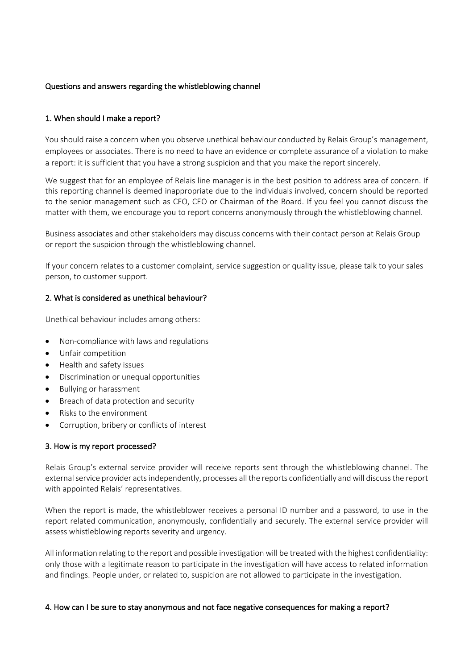## Questions and answers regarding the whistleblowing channel

## 1. When should I make a report?

You should raise a concern when you observe unethical behaviour conducted by Relais Group's management, employees or associates. There is no need to have an evidence or complete assurance of a violation to make a report: it is sufficient that you have a strong suspicion and that you make the report sincerely.

We suggest that for an employee of Relais line manager is in the best position to address area of concern. If this reporting channel is deemed inappropriate due to the individuals involved, concern should be reported to the senior management such as CFO, CEO or Chairman of the Board. If you feel you cannot discuss the matter with them, we encourage you to report concerns anonymously through the whistleblowing channel.

Business associates and other stakeholders may discuss concerns with their contact person at Relais Group or report the suspicion through the whistleblowing channel.

If your concern relates to a customer complaint, service suggestion or quality issue, please talk to your sales person, to customer support.

#### 2. What is considered as unethical behaviour?

Unethical behaviour includes among others:

- Non-compliance with laws and regulations
- Unfair competition
- Health and safety issues
- Discrimination or unequal opportunities
- Bullying or harassment
- Breach of data protection and security
- Risks to the environment
- Corruption, bribery or conflicts of interest

#### 3. How is my report processed?

Relais Group's external service provider will receive reports sent through the whistleblowing channel. The external service provider acts independently, processes all the reports confidentially and will discuss the report with appointed Relais' representatives.

When the report is made, the whistleblower receives a personal ID number and a password, to use in the report related communication, anonymously, confidentially and securely. The external service provider will assess whistleblowing reports severity and urgency.

All information relating to the report and possible investigation will be treated with the highest confidentiality: only those with a legitimate reason to participate in the investigation will have access to related information and findings. People under, or related to, suspicion are not allowed to participate in the investigation.

#### 4. How can I be sure to stay anonymous and not face negative consequences for making a report?